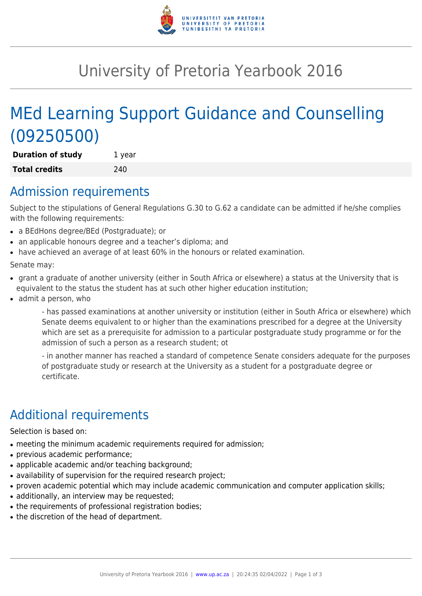

# University of Pretoria Yearbook 2016

# MEd Learning Support Guidance and Counselling (09250500)

**Duration of study** 1 year **Total credits** 240

### Admission requirements

Subject to the stipulations of General Regulations G.30 to G.62 a candidate can be admitted if he/she complies with the following requirements:

- a BEdHons degree/BEd (Postgraduate); or
- an applicable honours degree and a teacher's diploma; and
- have achieved an average of at least 60% in the honours or related examination.

Senate may:

- grant a graduate of another university (either in South Africa or elsewhere) a status at the University that is equivalent to the status the student has at such other higher education institution;
- admit a person, who

- has passed examinations at another university or institution (either in South Africa or elsewhere) which Senate deems equivalent to or higher than the examinations prescribed for a degree at the University which are set as a prerequisite for admission to a particular postgraduate study programme or for the admission of such a person as a research student; ot

- in another manner has reached a standard of competence Senate considers adequate for the purposes of postgraduate study or research at the University as a student for a postgraduate degree or certificate.

## Additional requirements

Selection is based on:

- meeting the minimum academic requirements required for admission;
- previous academic performance;
- applicable academic and/or teaching background;
- availability of supervision for the required research project;
- proven academic potential which may include academic communication and computer application skills;
- additionally, an interview may be requested;
- the requirements of professional registration bodies;
- the discretion of the head of department.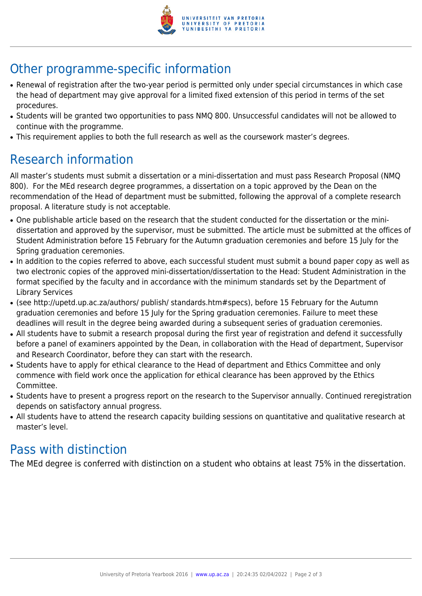

## Other programme-specific information

- Renewal of registration after the two-year period is permitted only under special circumstances in which case the head of department may give approval for a limited fixed extension of this period in terms of the set procedures.
- Students will be granted two opportunities to pass NMQ 800. Unsuccessful candidates will not be allowed to continue with the programme.
- This requirement applies to both the full research as well as the coursework master's degrees.

### Research information

All master's students must submit a dissertation or a mini-dissertation and must pass Research Proposal (NMQ 800). For the MEd research degree programmes, a dissertation on a topic approved by the Dean on the recommendation of the Head of department must be submitted, following the approval of a complete research proposal. A literature study is not acceptable.

- One publishable article based on the research that the student conducted for the dissertation or the minidissertation and approved by the supervisor, must be submitted. The article must be submitted at the offices of Student Administration before 15 February for the Autumn graduation ceremonies and before 15 July for the Spring graduation ceremonies.
- In addition to the copies referred to above, each successful student must submit a bound paper copy as well as two electronic copies of the approved mini-dissertation/dissertation to the Head: Student Administration in the format specified by the faculty and in accordance with the minimum standards set by the Department of Library Services
- (see http://upetd.up.ac.za/authors/ publish/ standards.htm#specs), before 15 February for the Autumn graduation ceremonies and before 15 July for the Spring graduation ceremonies. Failure to meet these deadlines will result in the degree being awarded during a subsequent series of graduation ceremonies.
- All students have to submit a research proposal during the first year of registration and defend it successfully before a panel of examiners appointed by the Dean, in collaboration with the Head of department, Supervisor and Research Coordinator, before they can start with the research.
- Students have to apply for ethical clearance to the Head of department and Ethics Committee and only commence with field work once the application for ethical clearance has been approved by the Ethics Committee.
- Students have to present a progress report on the research to the Supervisor annually. Continued reregistration depends on satisfactory annual progress.
- All students have to attend the research capacity building sessions on quantitative and qualitative research at master's level.

#### Pass with distinction

The MEd degree is conferred with distinction on a student who obtains at least 75% in the dissertation.